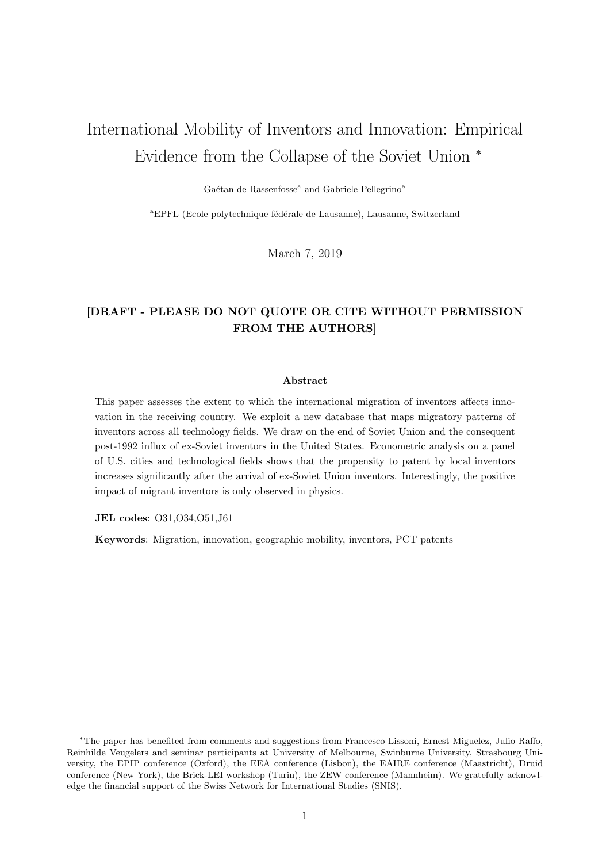# International Mobility of Inventors and Innovation: Empirical Evidence from the Collapse of the Soviet Union <sup>∗</sup>

Gaétan de Rassenfosse<sup>a</sup> and Gabriele Pellegrino<sup>a</sup>

<sup>a</sup>EPFL (Ecole polytechnique fédérale de Lausanne), Lausanne, Switzerland

March 7, 2019

## [DRAFT - PLEASE DO NOT QUOTE OR CITE WITHOUT PERMISSION FROM THE AUTHORS]

#### Abstract

This paper assesses the extent to which the international migration of inventors affects innovation in the receiving country. We exploit a new database that maps migratory patterns of inventors across all technology fields. We draw on the end of Soviet Union and the consequent post-1992 influx of ex-Soviet inventors in the United States. Econometric analysis on a panel of U.S. cities and technological fields shows that the propensity to patent by local inventors increases significantly after the arrival of ex-Soviet Union inventors. Interestingly, the positive impact of migrant inventors is only observed in physics.

JEL codes: O31,O34,O51,J61

Keywords: Migration, innovation, geographic mobility, inventors, PCT patents

<sup>∗</sup>The paper has benefited from comments and suggestions from Francesco Lissoni, Ernest Miguelez, Julio Raffo, Reinhilde Veugelers and seminar participants at University of Melbourne, Swinburne University, Strasbourg University, the EPIP conference (Oxford), the EEA conference (Lisbon), the EAIRE conference (Maastricht), Druid conference (New York), the Brick-LEI workshop (Turin), the ZEW conference (Mannheim). We gratefully acknowledge the financial support of the Swiss Network for International Studies (SNIS).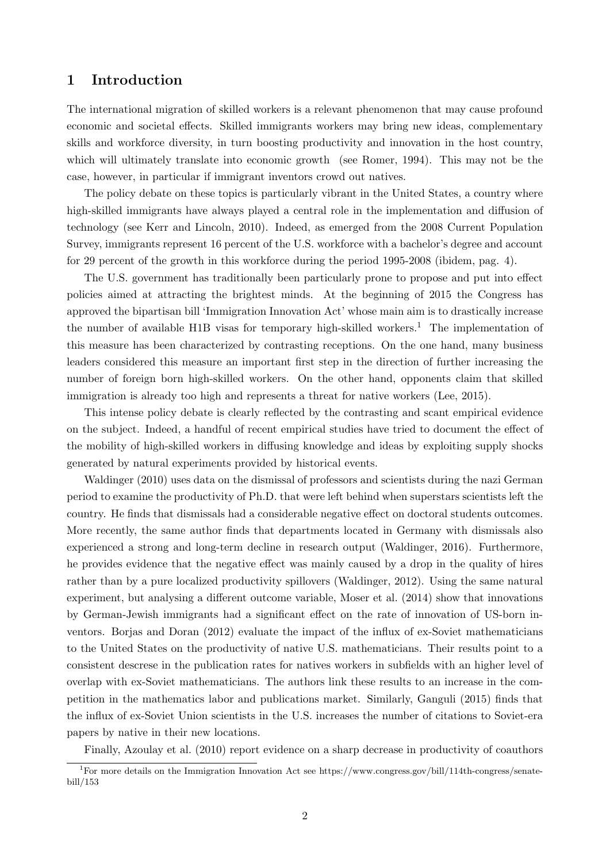## 1 Introduction

The international migration of skilled workers is a relevant phenomenon that may cause profound economic and societal effects. Skilled immigrants workers may bring new ideas, complementary skills and workforce diversity, in turn boosting productivity and innovation in the host country, which will ultimately translate into economic growth (see Romer, 1994). This may not be the case, however, in particular if immigrant inventors crowd out natives.

The policy debate on these topics is particularly vibrant in the United States, a country where high-skilled immigrants have always played a central role in the implementation and diffusion of technology (see Kerr and Lincoln, 2010). Indeed, as emerged from the 2008 Current Population Survey, immigrants represent 16 percent of the U.S. workforce with a bachelor's degree and account for 29 percent of the growth in this workforce during the period 1995-2008 (ibidem, pag. 4).

The U.S. government has traditionally been particularly prone to propose and put into effect policies aimed at attracting the brightest minds. At the beginning of 2015 the Congress has approved the bipartisan bill 'Immigration Innovation Act' whose main aim is to drastically increase the number of available H1B visas for temporary high-skilled workers.<sup>1</sup> The implementation of this measure has been characterized by contrasting receptions. On the one hand, many business leaders considered this measure an important first step in the direction of further increasing the number of foreign born high-skilled workers. On the other hand, opponents claim that skilled immigration is already too high and represents a threat for native workers (Lee, 2015).

This intense policy debate is clearly reflected by the contrasting and scant empirical evidence on the subject. Indeed, a handful of recent empirical studies have tried to document the effect of the mobility of high-skilled workers in diffusing knowledge and ideas by exploiting supply shocks generated by natural experiments provided by historical events.

Waldinger (2010) uses data on the dismissal of professors and scientists during the nazi German period to examine the productivity of Ph.D. that were left behind when superstars scientists left the country. He finds that dismissals had a considerable negative effect on doctoral students outcomes. More recently, the same author finds that departments located in Germany with dismissals also experienced a strong and long-term decline in research output (Waldinger, 2016). Furthermore, he provides evidence that the negative effect was mainly caused by a drop in the quality of hires rather than by a pure localized productivity spillovers (Waldinger, 2012). Using the same natural experiment, but analysing a different outcome variable, Moser et al. (2014) show that innovations by German-Jewish immigrants had a significant effect on the rate of innovation of US-born inventors. Borjas and Doran (2012) evaluate the impact of the influx of ex-Soviet mathematicians to the United States on the productivity of native U.S. mathematicians. Their results point to a consistent descrese in the publication rates for natives workers in subfields with an higher level of overlap with ex-Soviet mathematicians. The authors link these results to an increase in the competition in the mathematics labor and publications market. Similarly, Ganguli (2015) finds that the influx of ex-Soviet Union scientists in the U.S. increases the number of citations to Soviet-era papers by native in their new locations.

Finally, Azoulay et al. (2010) report evidence on a sharp decrease in productivity of coauthors

<sup>1</sup>For more details on the Immigration Innovation Act see https://www.congress.gov/bill/114th-congress/senatebill/153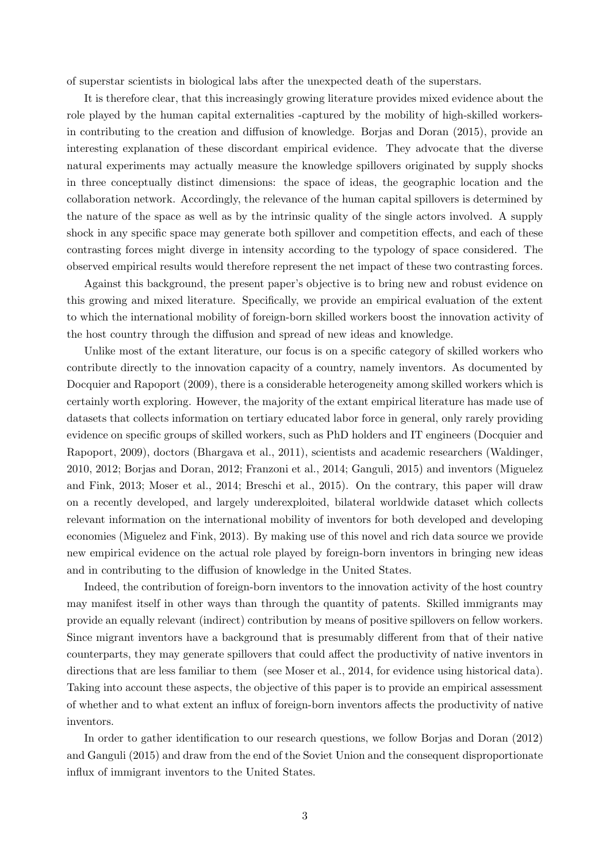of superstar scientists in biological labs after the unexpected death of the superstars.

It is therefore clear, that this increasingly growing literature provides mixed evidence about the role played by the human capital externalities -captured by the mobility of high-skilled workersin contributing to the creation and diffusion of knowledge. Borjas and Doran (2015), provide an interesting explanation of these discordant empirical evidence. They advocate that the diverse natural experiments may actually measure the knowledge spillovers originated by supply shocks in three conceptually distinct dimensions: the space of ideas, the geographic location and the collaboration network. Accordingly, the relevance of the human capital spillovers is determined by the nature of the space as well as by the intrinsic quality of the single actors involved. A supply shock in any specific space may generate both spillover and competition effects, and each of these contrasting forces might diverge in intensity according to the typology of space considered. The observed empirical results would therefore represent the net impact of these two contrasting forces.

Against this background, the present paper's objective is to bring new and robust evidence on this growing and mixed literature. Specifically, we provide an empirical evaluation of the extent to which the international mobility of foreign-born skilled workers boost the innovation activity of the host country through the diffusion and spread of new ideas and knowledge.

Unlike most of the extant literature, our focus is on a specific category of skilled workers who contribute directly to the innovation capacity of a country, namely inventors. As documented by Docquier and Rapoport (2009), there is a considerable heterogeneity among skilled workers which is certainly worth exploring. However, the majority of the extant empirical literature has made use of datasets that collects information on tertiary educated labor force in general, only rarely providing evidence on specific groups of skilled workers, such as PhD holders and IT engineers (Docquier and Rapoport, 2009), doctors (Bhargava et al., 2011), scientists and academic researchers (Waldinger, 2010, 2012; Borjas and Doran, 2012; Franzoni et al., 2014; Ganguli, 2015) and inventors (Miguelez and Fink, 2013; Moser et al., 2014; Breschi et al., 2015). On the contrary, this paper will draw on a recently developed, and largely underexploited, bilateral worldwide dataset which collects relevant information on the international mobility of inventors for both developed and developing economies (Miguelez and Fink, 2013). By making use of this novel and rich data source we provide new empirical evidence on the actual role played by foreign-born inventors in bringing new ideas and in contributing to the diffusion of knowledge in the United States.

Indeed, the contribution of foreign-born inventors to the innovation activity of the host country may manifest itself in other ways than through the quantity of patents. Skilled immigrants may provide an equally relevant (indirect) contribution by means of positive spillovers on fellow workers. Since migrant inventors have a background that is presumably different from that of their native counterparts, they may generate spillovers that could affect the productivity of native inventors in directions that are less familiar to them (see Moser et al., 2014, for evidence using historical data). Taking into account these aspects, the objective of this paper is to provide an empirical assessment of whether and to what extent an influx of foreign-born inventors affects the productivity of native inventors.

In order to gather identification to our research questions, we follow Borjas and Doran (2012) and Ganguli (2015) and draw from the end of the Soviet Union and the consequent disproportionate influx of immigrant inventors to the United States.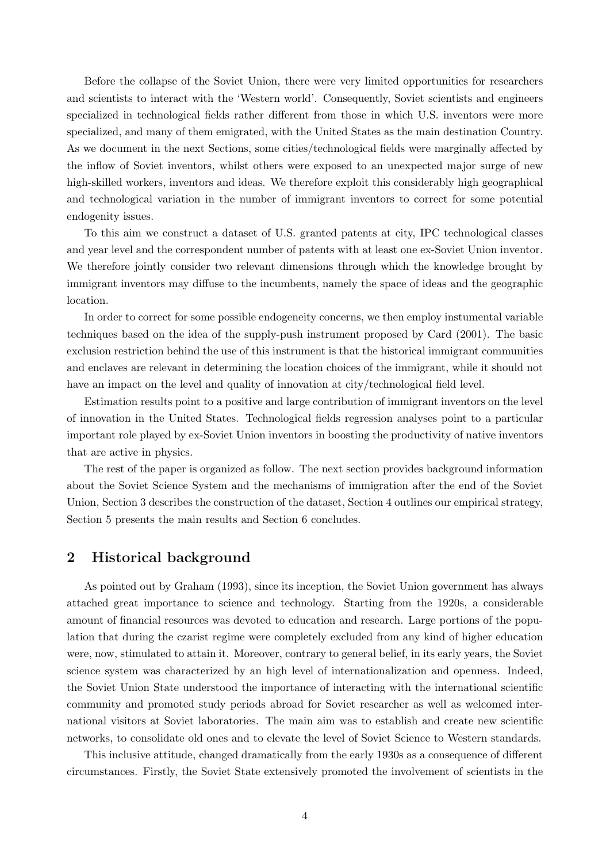Before the collapse of the Soviet Union, there were very limited opportunities for researchers and scientists to interact with the 'Western world'. Consequently, Soviet scientists and engineers specialized in technological fields rather different from those in which U.S. inventors were more specialized, and many of them emigrated, with the United States as the main destination Country. As we document in the next Sections, some cities/technological fields were marginally affected by the inflow of Soviet inventors, whilst others were exposed to an unexpected major surge of new high-skilled workers, inventors and ideas. We therefore exploit this considerably high geographical and technological variation in the number of immigrant inventors to correct for some potential endogenity issues.

To this aim we construct a dataset of U.S. granted patents at city, IPC technological classes and year level and the correspondent number of patents with at least one ex-Soviet Union inventor. We therefore jointly consider two relevant dimensions through which the knowledge brought by immigrant inventors may diffuse to the incumbents, namely the space of ideas and the geographic location.

In order to correct for some possible endogeneity concerns, we then employ instumental variable techniques based on the idea of the supply-push instrument proposed by Card (2001). The basic exclusion restriction behind the use of this instrument is that the historical immigrant communities and enclaves are relevant in determining the location choices of the immigrant, while it should not have an impact on the level and quality of innovation at city/technological field level.

Estimation results point to a positive and large contribution of immigrant inventors on the level of innovation in the United States. Technological fields regression analyses point to a particular important role played by ex-Soviet Union inventors in boosting the productivity of native inventors that are active in physics.

The rest of the paper is organized as follow. The next section provides background information about the Soviet Science System and the mechanisms of immigration after the end of the Soviet Union, Section 3 describes the construction of the dataset, Section 4 outlines our empirical strategy, Section 5 presents the main results and Section 6 concludes.

## 2 Historical background

As pointed out by Graham (1993), since its inception, the Soviet Union government has always attached great importance to science and technology. Starting from the 1920s, a considerable amount of financial resources was devoted to education and research. Large portions of the population that during the czarist regime were completely excluded from any kind of higher education were, now, stimulated to attain it. Moreover, contrary to general belief, in its early years, the Soviet science system was characterized by an high level of internationalization and openness. Indeed, the Soviet Union State understood the importance of interacting with the international scientific community and promoted study periods abroad for Soviet researcher as well as welcomed international visitors at Soviet laboratories. The main aim was to establish and create new scientific networks, to consolidate old ones and to elevate the level of Soviet Science to Western standards.

This inclusive attitude, changed dramatically from the early 1930s as a consequence of different circumstances. Firstly, the Soviet State extensively promoted the involvement of scientists in the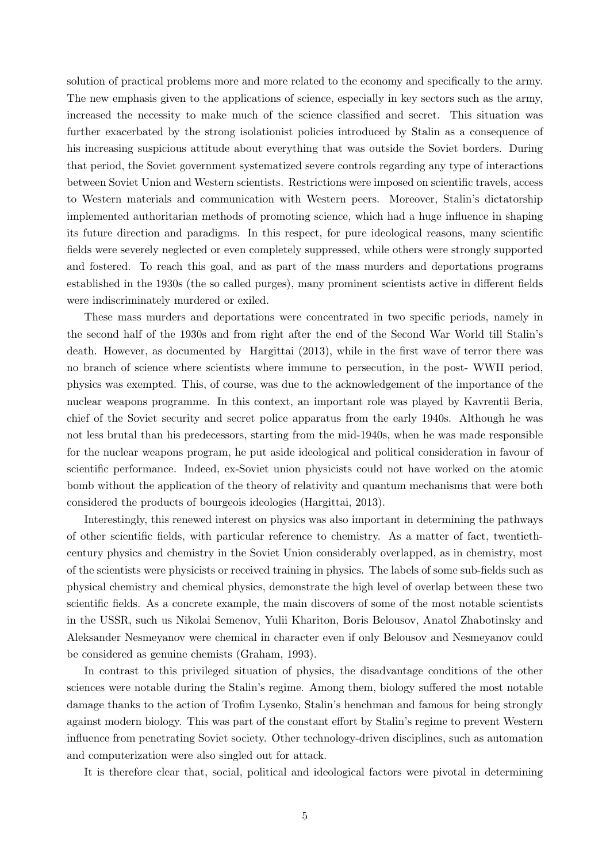solution of practical problems more and more related to the economy and specifically to the army. The new emphasis given to the applications of science, especially in key sectors such as the army, increased the necessity to make much of the science classified and secret. This situation was further exacerbated by the strong isolationist policies introduced by Stalin as a consequence of his increasing suspicious attitude about everything that was outside the Soviet borders. During that period, the Soviet government systematized severe controls regarding any type of interactions between Soviet Union and Western scientists. Restrictions were imposed on scientific travels, access to Western materials and communication with Western peers. Moreover, Stalin's dictatorship implemented authoritarian methods of promoting science, which had a huge influence in shaping its future direction and paradigms. In this respect, for pure ideological reasons, many scientific fields were severely neglected or even completely suppressed, while others were strongly supported and fostered. To reach this goal, and as part of the mass murders and deportations programs established in the 1930s (the so called purges), many prominent scientists active in different fields were indiscriminately murdered or exiled.

These mass murders and deportations were concentrated in two specific periods, namely in the second half of the 1930s and from right after the end of the Second War World till Stalin's death. However, as documented by Hargittai (2013), while in the first wave of terror there was no branch of science where scientists where immune to persecution, in the post- WWII period, physics was exempted. This, of course, was due to the acknowledgement of the importance of the nuclear weapons programme. In this context, an important role was played by Kavrentii Beria, chief of the Soviet security and secret police apparatus from the early 1940s. Although he was not less brutal than his predecessors, starting from the mid-1940s, when he was made responsible for the nuclear weapons program, he put aside ideological and political consideration in favour of scientific performance. Indeed, ex-Soviet union physicists could not have worked on the atomic bomb without the application of the theory of relativity and quantum mechanisms that were both considered the products of bourgeois ideologies (Hargittai, 2013).

Interestingly, this renewed interest on physics was also important in determining the pathways of other scientific fields, with particular reference to chemistry. As a matter of fact, twentiethcentury physics and chemistry in the Soviet Union considerably overlapped, as in chemistry, most of the scientists were physicists or received training in physics. The labels of some sub-fields such as physical chemistry and chemical physics, demonstrate the high level of overlap between these two scientific fields. As a concrete example, the main discovers of some of the most notable scientists in the USSR, such us Nikolai Semenov, Yulii Khariton, Boris Belousov, Anatol Zhabotinsky and Aleksander Nesmeyanov were chemical in character even if only Belousov and Nesmeyanov could be considered as genuine chemists (Graham, 1993).

In contrast to this privileged situation of physics, the disadvantage conditions of the other sciences were notable during the Stalin's regime. Among them, biology suffered the most notable damage thanks to the action of Trofim Lysenko, Stalin's henchman and famous for being strongly against modern biology. This was part of the constant effort by Stalin's regime to prevent Western influence from penetrating Soviet society. Other technology-driven disciplines, such as automation and computerization were also singled out for attack.

It is therefore clear that, social, political and ideological factors were pivotal in determining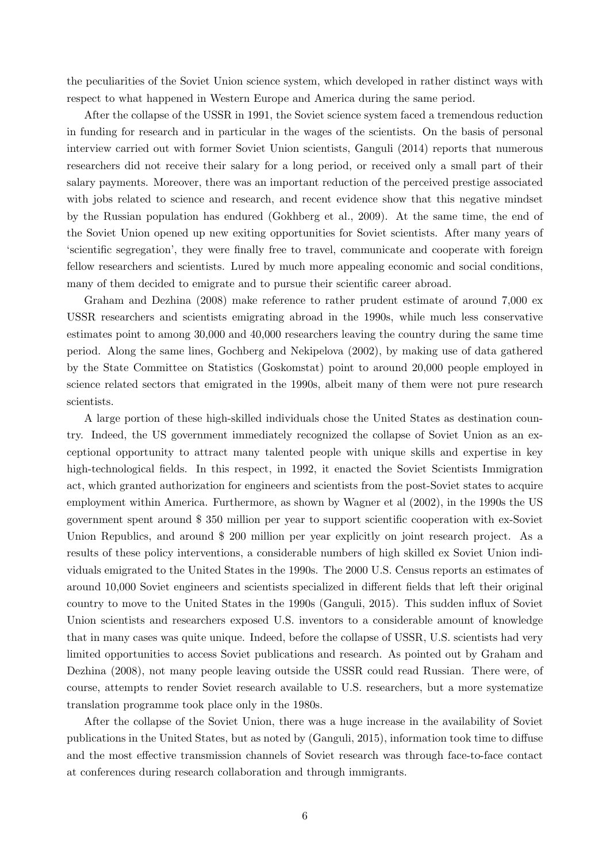the peculiarities of the Soviet Union science system, which developed in rather distinct ways with respect to what happened in Western Europe and America during the same period.

After the collapse of the USSR in 1991, the Soviet science system faced a tremendous reduction in funding for research and in particular in the wages of the scientists. On the basis of personal interview carried out with former Soviet Union scientists, Ganguli (2014) reports that numerous researchers did not receive their salary for a long period, or received only a small part of their salary payments. Moreover, there was an important reduction of the perceived prestige associated with jobs related to science and research, and recent evidence show that this negative mindset by the Russian population has endured (Gokhberg et al., 2009). At the same time, the end of the Soviet Union opened up new exiting opportunities for Soviet scientists. After many years of 'scientific segregation', they were finally free to travel, communicate and cooperate with foreign fellow researchers and scientists. Lured by much more appealing economic and social conditions, many of them decided to emigrate and to pursue their scientific career abroad.

Graham and Dezhina (2008) make reference to rather prudent estimate of around 7,000 ex USSR researchers and scientists emigrating abroad in the 1990s, while much less conservative estimates point to among 30,000 and 40,000 researchers leaving the country during the same time period. Along the same lines, Gochberg and Nekipelova (2002), by making use of data gathered by the State Committee on Statistics (Goskomstat) point to around 20,000 people employed in science related sectors that emigrated in the 1990s, albeit many of them were not pure research scientists.

A large portion of these high-skilled individuals chose the United States as destination country. Indeed, the US government immediately recognized the collapse of Soviet Union as an exceptional opportunity to attract many talented people with unique skills and expertise in key high-technological fields. In this respect, in 1992, it enacted the Soviet Scientists Immigration act, which granted authorization for engineers and scientists from the post-Soviet states to acquire employment within America. Furthermore, as shown by Wagner et al (2002), in the 1990s the US government spent around \$ 350 million per year to support scientific cooperation with ex-Soviet Union Republics, and around \$ 200 million per year explicitly on joint research project. As a results of these policy interventions, a considerable numbers of high skilled ex Soviet Union individuals emigrated to the United States in the 1990s. The 2000 U.S. Census reports an estimates of around 10,000 Soviet engineers and scientists specialized in different fields that left their original country to move to the United States in the 1990s (Ganguli, 2015). This sudden influx of Soviet Union scientists and researchers exposed U.S. inventors to a considerable amount of knowledge that in many cases was quite unique. Indeed, before the collapse of USSR, U.S. scientists had very limited opportunities to access Soviet publications and research. As pointed out by Graham and Dezhina (2008), not many people leaving outside the USSR could read Russian. There were, of course, attempts to render Soviet research available to U.S. researchers, but a more systematize translation programme took place only in the 1980s.

After the collapse of the Soviet Union, there was a huge increase in the availability of Soviet publications in the United States, but as noted by (Ganguli, 2015), information took time to diffuse and the most effective transmission channels of Soviet research was through face-to-face contact at conferences during research collaboration and through immigrants.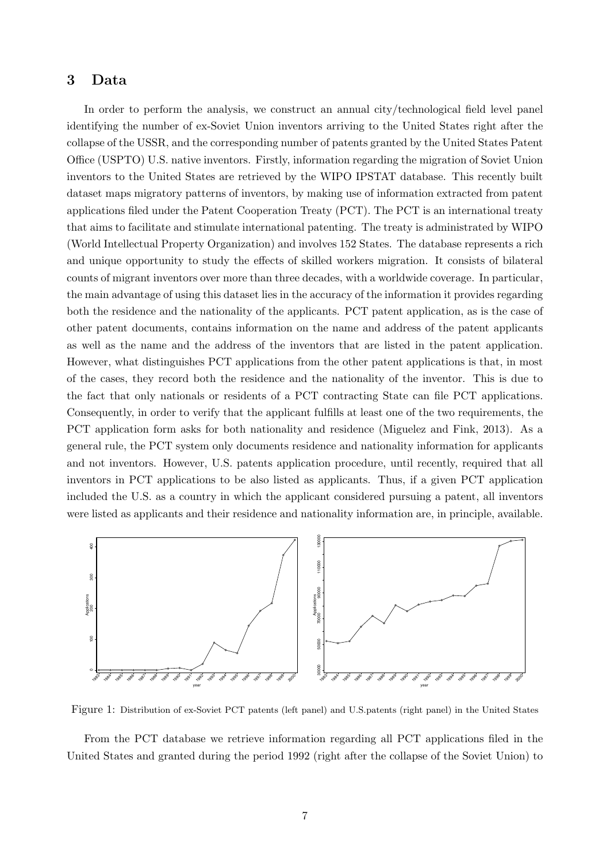## 3 Data

In order to perform the analysis, we construct an annual city/technological field level panel identifying the number of ex-Soviet Union inventors arriving to the United States right after the collapse of the USSR, and the corresponding number of patents granted by the United States Patent Office (USPTO) U.S. native inventors. Firstly, information regarding the migration of Soviet Union inventors to the United States are retrieved by the WIPO IPSTAT database. This recently built dataset maps migratory patterns of inventors, by making use of information extracted from patent applications filed under the Patent Cooperation Treaty (PCT). The PCT is an international treaty that aims to facilitate and stimulate international patenting. The treaty is administrated by WIPO (World Intellectual Property Organization) and involves 152 States. The database represents a rich and unique opportunity to study the effects of skilled workers migration. It consists of bilateral counts of migrant inventors over more than three decades, with a worldwide coverage. In particular, the main advantage of using this dataset lies in the accuracy of the information it provides regarding both the residence and the nationality of the applicants. PCT patent application, as is the case of other patent documents, contains information on the name and address of the patent applicants as well as the name and the address of the inventors that are listed in the patent application. However, what distinguishes PCT applications from the other patent applications is that, in most of the cases, they record both the residence and the nationality of the inventor. This is due to the fact that only nationals or residents of a PCT contracting State can file PCT applications. Consequently, in order to verify that the applicant fulfills at least one of the two requirements, the PCT application form asks for both nationality and residence (Miguelez and Fink, 2013). As a general rule, the PCT system only documents residence and nationality information for applicants and not inventors. However, U.S. patents application procedure, until recently, required that all inventors in PCT applications to be also listed as applicants. Thus, if a given PCT application included the U.S. as a country in which the applicant considered pursuing a patent, all inventors were listed as applicants and their residence and nationality information are, in principle, available.



Figure 1: Distribution of ex-Soviet PCT patents (left panel) and U.S.patents (right panel) in the United States

From the PCT database we retrieve information regarding all PCT applications filed in the United States and granted during the period 1992 (right after the collapse of the Soviet Union) to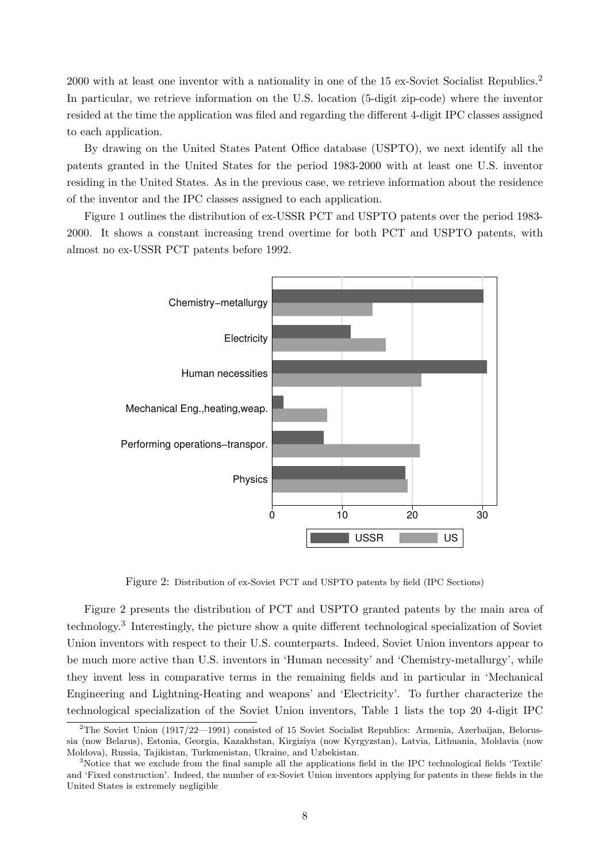2000 with at least one inventor with a nationality in one of the 15 ex-Soviet Socialist Republics.<sup>2</sup> In particular, we retrieve information on the U.S. location (5-digit zip-code) where the inventor resided at the time the application was filed and regarding the different 4-digit IPC classes assigned to each application.

By drawing on the United States Patent Office database (USPTO), we next identify all the patents granted in the United States for the period 1983-2000 with at least one U.S. inventor residing in the United States. As in the previous case, we retrieve information about the residence of the inventor and the IPC classes assigned to each application.

Figure 1 outlines the distribution of ex-USSR PCT and USPTO patents over the period 1983- 2000. It shows a constant increasing trend overtime for both PCT and USPTO patents, with almost no ex-USSR PCT patents before 1992.



Figure 2: Distribution of ex-Soviet PCT and USPTO patents by field (IPC Sections)

Figure 2 presents the distribution of PCT and USPTO granted patents by the main area of technology.<sup>3</sup> Interestingly, the picture show a quite different technological specialization of Soviet Union inventors with respect to their U.S. counterparts. Indeed, Soviet Union inventors appear to be much more active than U.S. inventors in 'Human necessity' and 'Chemistry-metallurgy', while they invent less in comparative terms in the remaining fields and in particular in 'Mechanical Engineering and Lightning-Heating and weapons' and 'Electricity'. To further characterize the technological specialization of the Soviet Union inventors, Table 1 lists the top 20 4-digit IPC

<sup>&</sup>lt;sup>2</sup>The Soviet Union (1917/22—1991) consisted of 15 Soviet Socialist Republics: Armenia, Azerbaijan, Belorussia (now Belarus), Estonia, Georgia, Kazakhstan, Kirgiziya (now Kyrgyzstan), Latvia, Lithuania, Moldavia (now Moldova), Russia, Tajikistan, Turkmenistan, Ukraine, and Uzbekistan.

<sup>3</sup>Notice that we exclude from the final sample all the applications field in the IPC technological fields 'Textile' and 'Fixed construction'. Indeed, the number of ex-Soviet Union inventors applying for patents in these fields in the United States is extremely negligible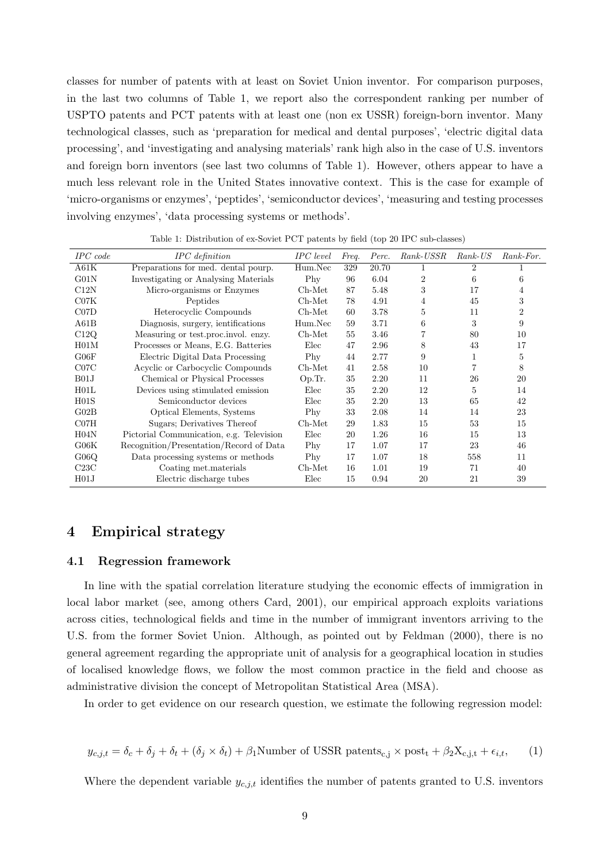classes for number of patents with at least on Soviet Union inventor. For comparison purposes, in the last two columns of Table 1, we report also the correspondent ranking per number of USPTO patents and PCT patents with at least one (non ex USSR) foreign-born inventor. Many technological classes, such as 'preparation for medical and dental purposes', 'electric digital data processing', and 'investigating and analysing materials' rank high also in the case of U.S. inventors and foreign born inventors (see last two columns of Table 1). However, others appear to have a much less relevant role in the United States innovative context. This is the case for example of 'micro-organisms or enzymes', 'peptides', 'semiconductor devices', 'measuring and testing processes involving enzymes', 'data processing systems or methods'.

| $IPC$ code       | IPC definition                           | <b>IPC</b> level | Freq. | Perc. | Rank-USSR      | $Rank\text{-}US$ | Rank-For.      |
|------------------|------------------------------------------|------------------|-------|-------|----------------|------------------|----------------|
| A61K             | Preparations for med. dental pourp.      | Hum.Nec          | 329   | 20.70 | 1              | 2                |                |
| G01N             | Investigating or Analysing Materials     | Phy              | 96    | 6.04  | $\overline{2}$ | 6                | 6              |
| C12N             | Micro-organisms or Enzymes               | $Ch-Met$         | 87    | 5.48  | 3              | 17               | 4              |
| C07K             | Peptides                                 | $Ch-Met$         | 78    | 4.91  | 4              | 45               | 3              |
| C07D             | Heterocyclic Compounds                   | $Ch-Met$         | 60    | 3.78  | 5              | 11               | $\overline{2}$ |
| A61B             | Diagnosis, surgery, ientifications       | Hum.Nec          | 59    | 3.71  | 6              | 3                | 9              |
| C12Q             | Measuring or test.proc.invol. enzy.      | $Ch-Met$         | 55    | 3.46  |                | 80               | 10             |
| H01M             | Processes or Means, E.G. Batteries       | Elec             | 47    | 2.96  | 8              | 43               | 17             |
| G06F             | Electric Digital Data Processing         | Phy              | 44    | 2.77  | 9              |                  | 5              |
| C07C             | Acyclic or Carbocyclic Compounds         | $Ch-Met$         | 41    | 2.58  | 10             | 7                | 8              |
| B01J             | Chemical or Physical Processes           | Op.Tr.           | 35    | 2.20  | 11             | 26               | 20             |
| H01L             | Devices using stimulated emission        | Elec             | 35    | 2.20  | 12             | 5                | 14             |
| H <sub>01S</sub> | Semiconductor devices                    | Elec             | 35    | 2.20  | 13             | 65               | 42             |
| G02B             | Optical Elements, Systems                | Phy              | 33    | 2.08  | 14             | 14               | 23             |
| CO7H             | Sugars; Derivatives Thereof              | $Ch-Met$         | 29    | 1.83  | 15             | 53               | 15             |
| H04N             | Pictorial Communication, e.g. Television | Elec             | 20    | 1.26  | 16             | 15               | 13             |
| G06K             | Recognition/Presentation/Record of Data  | Phy              | 17    | 1.07  | 17             | 23               | 46             |
| G06Q             | Data processing systems or methods       | Phy              | 17    | 1.07  | 18             | 558              | 11             |
| C23C             | Coating met.materials                    | $Ch-Met$         | 16    | 1.01  | 19             | 71               | 40             |
| H <sub>01J</sub> | Electric discharge tubes                 | Elec             | 15    | 0.94  | 20             | 21               | 39             |

Table 1: Distribution of ex-Soviet PCT patents by field (top 20 IPC sub-classes)

## 4 Empirical strategy

#### 4.1 Regression framework

In line with the spatial correlation literature studying the economic effects of immigration in local labor market (see, among others Card, 2001), our empirical approach exploits variations across cities, technological fields and time in the number of immigrant inventors arriving to the U.S. from the former Soviet Union. Although, as pointed out by Feldman (2000), there is no general agreement regarding the appropriate unit of analysis for a geographical location in studies of localised knowledge flows, we follow the most common practice in the field and choose as administrative division the concept of Metropolitan Statistical Area (MSA).

In order to get evidence on our research question, we estimate the following regression model:

$$
y_{c,j,t} = \delta_c + \delta_j + \delta_t + (\delta_j \times \delta_t) + \beta_1 \text{Number of USSR patients}_{c,j} \times \text{post}_t + \beta_2 X_{c,j,t} + \epsilon_{i,t},\qquad(1)
$$

Where the dependent variable  $y_{c,j,t}$  identifies the number of patents granted to U.S. inventors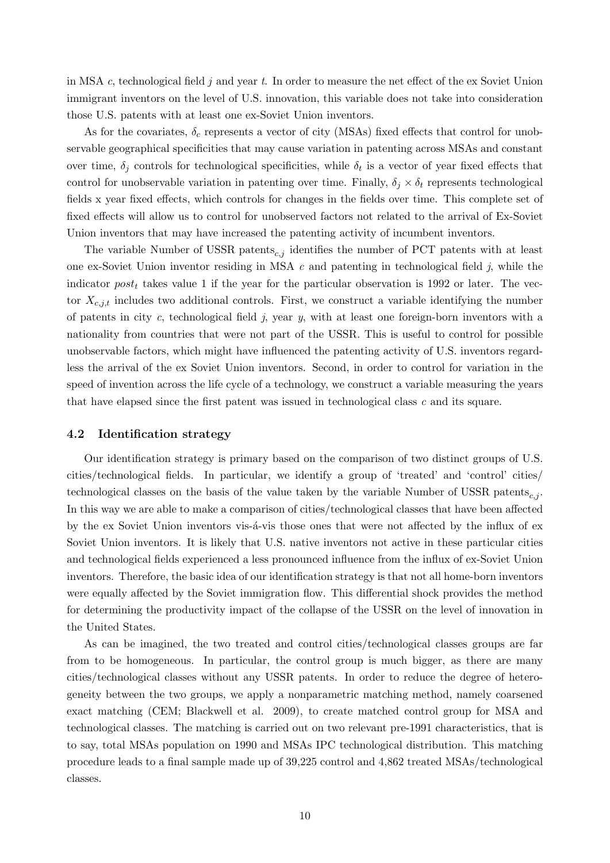in MSA  $c$ , technological field  $j$  and year  $t$ . In order to measure the net effect of the ex Soviet Union immigrant inventors on the level of U.S. innovation, this variable does not take into consideration those U.S. patents with at least one ex-Soviet Union inventors.

As for the covariates,  $\delta_c$  represents a vector of city (MSAs) fixed effects that control for unobservable geographical specificities that may cause variation in patenting across MSAs and constant over time,  $\delta_j$  controls for technological specificities, while  $\delta_t$  is a vector of year fixed effects that control for unobservable variation in patenting over time. Finally,  $\delta_i \times \delta_t$  represents technological fields x year fixed effects, which controls for changes in the fields over time. This complete set of fixed effects will allow us to control for unobserved factors not related to the arrival of Ex-Soviet Union inventors that may have increased the patenting activity of incumbent inventors.

The variable Number of USSR patents<sub>c,j</sub> identifies the number of PCT patents with at least one ex-Soviet Union inventor residing in MSA  $c$  and patenting in technological field  $j$ , while the indicator  $post_t$  takes value 1 if the year for the particular observation is 1992 or later. The vector  $X_{c,j,t}$  includes two additional controls. First, we construct a variable identifying the number of patents in city c, technological field j, year  $y$ , with at least one foreign-born inventors with a nationality from countries that were not part of the USSR. This is useful to control for possible unobservable factors, which might have influenced the patenting activity of U.S. inventors regardless the arrival of the ex Soviet Union inventors. Second, in order to control for variation in the speed of invention across the life cycle of a technology, we construct a variable measuring the years that have elapsed since the first patent was issued in technological class c and its square.

#### 4.2 Identification strategy

Our identification strategy is primary based on the comparison of two distinct groups of U.S. cities/technological fields. In particular, we identify a group of 'treated' and 'control' cities/ technological classes on the basis of the value taken by the variable Number of USSR patents<sub>c,j</sub>. In this way we are able to make a comparison of cities/technological classes that have been affected by the ex Soviet Union inventors vis- $\acute{a}$ -vis those ones that were not affected by the influx of ex Soviet Union inventors. It is likely that U.S. native inventors not active in these particular cities and technological fields experienced a less pronounced influence from the influx of ex-Soviet Union inventors. Therefore, the basic idea of our identification strategy is that not all home-born inventors were equally affected by the Soviet immigration flow. This differential shock provides the method for determining the productivity impact of the collapse of the USSR on the level of innovation in the United States.

As can be imagined, the two treated and control cities/technological classes groups are far from to be homogeneous. In particular, the control group is much bigger, as there are many cities/technological classes without any USSR patents. In order to reduce the degree of heterogeneity between the two groups, we apply a nonparametric matching method, namely coarsened exact matching (CEM; Blackwell et al. 2009), to create matched control group for MSA and technological classes. The matching is carried out on two relevant pre-1991 characteristics, that is to say, total MSAs population on 1990 and MSAs IPC technological distribution. This matching procedure leads to a final sample made up of 39,225 control and 4,862 treated MSAs/technological classes.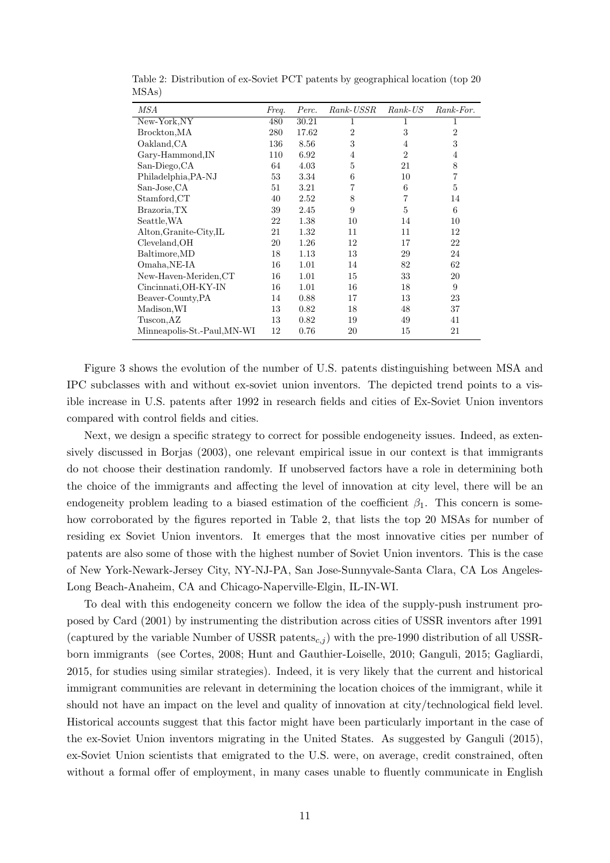| MSA                         | Freq. | Perc. | Rank-USSR      | $Rank\text{-}US$ | Rank-For.      |
|-----------------------------|-------|-------|----------------|------------------|----------------|
| New-York,NY                 | 480   | 30.21 | 1              | 1                | 1              |
| Brockton, MA                | 280   | 17.62 | $\overline{2}$ | 3                | $\overline{2}$ |
| Oakland, CA                 | 136   | 8.56  | 3              | 4                | 3              |
| Gary-Hammond, IN            | 110   | 6.92  | 4              | $\overline{2}$   | 4              |
| San-Diego, CA               | 64    | 4.03  | 5              | 21               | 8              |
| Philadelphia, PA-NJ         | 53    | 3.34  | 6              | 10               | $\overline{7}$ |
| San-Jose, CA                | 51    | 3.21  | 7              | 6                | 5              |
| Stamford, CT                | 40    | 2.52  | 8              | 7                | 14             |
| Brazoria,TX                 | 39    | 2.45  | 9              | 5                | 6              |
| Seattle, WA                 | 22    | 1.38  | 10             | 14               | 10             |
| Alton, Granite-City, IL     | 21    | 1.32  | 11             | 11               | 12             |
| Cleveland, OH               | 20    | 1.26  | 12             | 17               | 22             |
| Baltimore, MD               | 18    | 1.13  | 13             | 29               | 24             |
| Omaha, NE-IA                | 16    | 1.01  | 14             | 82               | 62             |
| New-Haven-Meriden, CT       | 16    | 1.01  | 15             | 33               | 20             |
| Cincinnati, OH-KY-IN        | 16    | 1.01  | 16             | 18               | 9              |
| Beaver-County, PA           | 14    | 0.88  | 17             | 13               | 23             |
| Madison, WI                 | 13    | 0.82  | 18             | 48               | 37             |
| Tuscon, AZ                  | 13    | 0.82  | 19             | 49               | 41             |
| Minneapolis-St.-Paul, MN-WI | 12    | 0.76  | 20             | 15               | 21             |

Table 2: Distribution of ex-Soviet PCT patents by geographical location (top 20 MSAs)

Figure 3 shows the evolution of the number of U.S. patents distinguishing between MSA and IPC subclasses with and without ex-soviet union inventors. The depicted trend points to a visible increase in U.S. patents after 1992 in research fields and cities of Ex-Soviet Union inventors compared with control fields and cities.

Next, we design a specific strategy to correct for possible endogeneity issues. Indeed, as extensively discussed in Borjas (2003), one relevant empirical issue in our context is that immigrants do not choose their destination randomly. If unobserved factors have a role in determining both the choice of the immigrants and affecting the level of innovation at city level, there will be an endogeneity problem leading to a biased estimation of the coefficient  $\beta_1$ . This concern is somehow corroborated by the figures reported in Table 2, that lists the top 20 MSAs for number of residing ex Soviet Union inventors. It emerges that the most innovative cities per number of patents are also some of those with the highest number of Soviet Union inventors. This is the case of New York-Newark-Jersey City, NY-NJ-PA, San Jose-Sunnyvale-Santa Clara, CA Los Angeles-Long Beach-Anaheim, CA and Chicago-Naperville-Elgin, IL-IN-WI.

To deal with this endogeneity concern we follow the idea of the supply-push instrument proposed by Card (2001) by instrumenting the distribution across cities of USSR inventors after 1991 (captured by the variable Number of USSR patents<sub>c,j</sub>) with the pre-1990 distribution of all USSRborn immigrants (see Cortes, 2008; Hunt and Gauthier-Loiselle, 2010; Ganguli, 2015; Gagliardi, 2015, for studies using similar strategies). Indeed, it is very likely that the current and historical immigrant communities are relevant in determining the location choices of the immigrant, while it should not have an impact on the level and quality of innovation at city/technological field level. Historical accounts suggest that this factor might have been particularly important in the case of the ex-Soviet Union inventors migrating in the United States. As suggested by Ganguli (2015), ex-Soviet Union scientists that emigrated to the U.S. were, on average, credit constrained, often without a formal offer of employment, in many cases unable to fluently communicate in English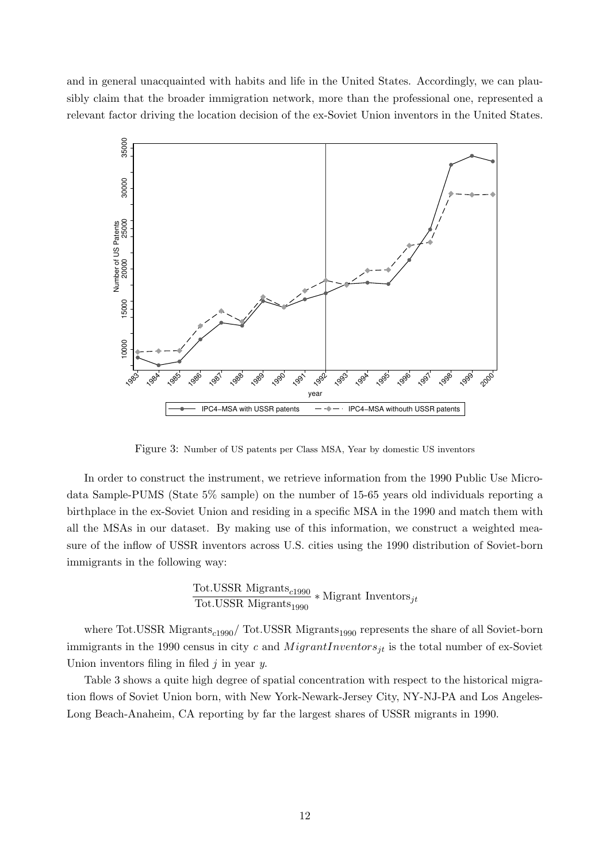and in general unacquainted with habits and life in the United States. Accordingly, we can plausibly claim that the broader immigration network, more than the professional one, represented a relevant factor driving the location decision of the ex-Soviet Union inventors in the United States.



Figure 3: Number of US patents per Class MSA, Year by domestic US inventors

In order to construct the instrument, we retrieve information from the 1990 Public Use Microdata Sample-PUMS (State 5% sample) on the number of 15-65 years old individuals reporting a birthplace in the ex-Soviet Union and residing in a specific MSA in the 1990 and match them with all the MSAs in our dataset. By making use of this information, we construct a weighted measure of the inflow of USSR inventors across U.S. cities using the 1990 distribution of Soviet-born immigrants in the following way:

> Tot.USSR Migrants $_{c1990}$  $\frac{1}{10t} \cdot \frac{1}{100} \cdot \frac{1}{1000}$  \* Migrant Inventors<sub>jt</sub>

where Tot.USSR Migrants<sub>c1990</sub>/ Tot.USSR Migrants<sub>1990</sub> represents the share of all Soviet-born immigrants in the 1990 census in city c and  $MigrantInventors_{it}$  is the total number of ex-Soviet Union inventors filing in filed  $j$  in year  $y$ .

Table 3 shows a quite high degree of spatial concentration with respect to the historical migration flows of Soviet Union born, with New York-Newark-Jersey City, NY-NJ-PA and Los Angeles-Long Beach-Anaheim, CA reporting by far the largest shares of USSR migrants in 1990.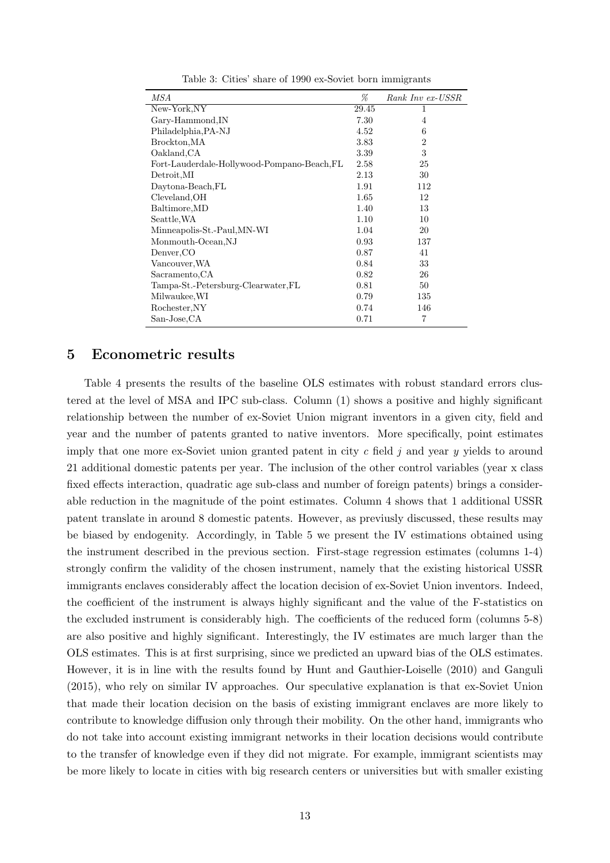| MSA                                         | %     | Rank Inv ex-USSR |
|---------------------------------------------|-------|------------------|
| New-York, NY                                | 29.45 | 1                |
| Gary-Hammond, IN                            | 7.30  | 4                |
| Philadelphia, PA-NJ                         | 4.52  | 6                |
| Brockton, MA                                | 3.83  | $\overline{2}$   |
| Oakland, CA                                 | 3.39  | 3                |
| Fort-Lauderdale-Hollywood-Pompano-Beach, FL | 2.58  | 25               |
| Detroit, MI                                 | 2.13  | 30               |
| Daytona-Beach, FL                           | 1.91  | 112              |
| Cleveland, OH                               | 1.65  | 12               |
| Baltimore, MD                               | 1.40  | 13               |
| Seattle, WA                                 | 1.10  | 10               |
| Minneapolis-St.-Paul, MN-WI                 | 1.04  | 20               |
| Monmouth-Ocean, NJ                          | 0.93  | 137              |
| Denver, CO                                  | 0.87  | 41               |
| Vancouver, WA                               | 0.84  | 33               |
| Sacramento, CA                              | 0.82  | 26               |
| Tampa-St.-Petersburg-Clearwater, FL         | 0.81  | 50               |
| Milwaukee, WI                               | 0.79  | 135              |
| Rochester, NY                               | 0.74  | 146              |
| San-Jose, CA                                | 0.71  | $\overline{7}$   |

Table 3: Cities' share of 1990 ex-Soviet born immigrants

## 5 Econometric results

Table 4 presents the results of the baseline OLS estimates with robust standard errors clustered at the level of MSA and IPC sub-class. Column (1) shows a positive and highly significant relationship between the number of ex-Soviet Union migrant inventors in a given city, field and year and the number of patents granted to native inventors. More specifically, point estimates imply that one more ex-Soviet union granted patent in city  $c$  field  $j$  and year  $y$  yields to around 21 additional domestic patents per year. The inclusion of the other control variables (year x class fixed effects interaction, quadratic age sub-class and number of foreign patents) brings a considerable reduction in the magnitude of the point estimates. Column 4 shows that 1 additional USSR patent translate in around 8 domestic patents. However, as previusly discussed, these results may be biased by endogenity. Accordingly, in Table 5 we present the IV estimations obtained using the instrument described in the previous section. First-stage regression estimates (columns 1-4) strongly confirm the validity of the chosen instrument, namely that the existing historical USSR immigrants enclaves considerably affect the location decision of ex-Soviet Union inventors. Indeed, the coefficient of the instrument is always highly significant and the value of the F-statistics on the excluded instrument is considerably high. The coefficients of the reduced form (columns 5-8) are also positive and highly significant. Interestingly, the IV estimates are much larger than the OLS estimates. This is at first surprising, since we predicted an upward bias of the OLS estimates. However, it is in line with the results found by Hunt and Gauthier-Loiselle (2010) and Ganguli (2015), who rely on similar IV approaches. Our speculative explanation is that ex-Soviet Union that made their location decision on the basis of existing immigrant enclaves are more likely to contribute to knowledge diffusion only through their mobility. On the other hand, immigrants who do not take into account existing immigrant networks in their location decisions would contribute to the transfer of knowledge even if they did not migrate. For example, immigrant scientists may be more likely to locate in cities with big research centers or universities but with smaller existing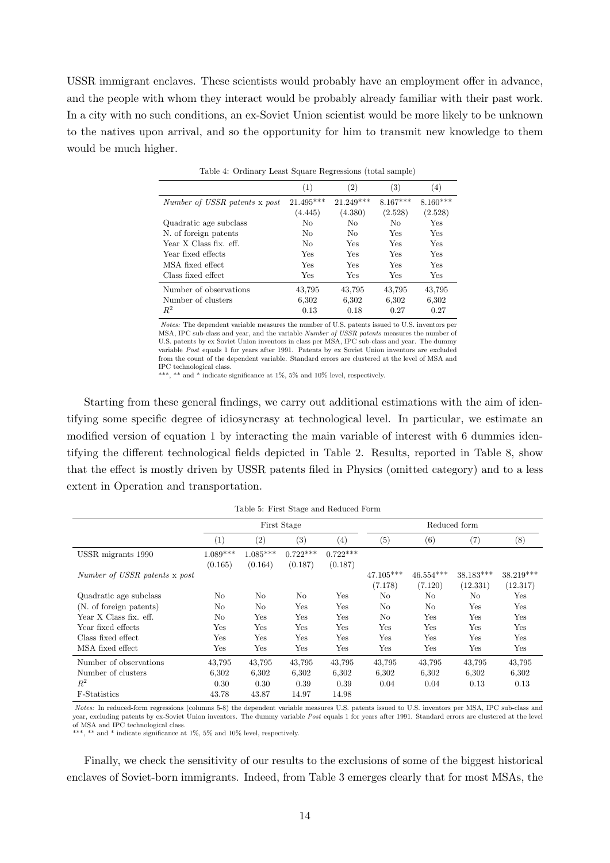USSR immigrant enclaves. These scientists would probably have an employment offer in advance, and the people with whom they interact would be probably already familiar with their past work. In a city with no such conditions, an ex-Soviet Union scientist would be more likely to be unknown to the natives upon arrival, and so the opportunity for him to transmit new knowledge to them would be much higher.

|                               | (1)       | $\left( 2\right)$ | $\left( 3\right)$ | $\left( 4\right)$ |
|-------------------------------|-----------|-------------------|-------------------|-------------------|
| Number of USSR patents x post | 21.495*** | $21.249***$       | $8.167***$        | $8.160***$        |
|                               | (4.445)   | (4.380)           | (2.528)           | (2.528)           |
| Quadratic age subclass        | No        | No                | No                | Yes               |
| N. of foreign patents         | No        | No                | Yes               | Yes               |
| Year X Class fix. eff.        | No        | Yes               | Yes               | Yes               |
| Year fixed effects            | Yes       | Yes               | Yes               | Yes               |
| MSA fixed effect              | Yes       | Yes               | Yes               | Yes               |
| Class fixed effect            | Yes       | Yes               | Yes               | Yes               |
| Number of observations        | 43,795    | 43,795            | 43,795            | 43,795            |
| Number of clusters            | 6,302     | 6,302             | 6,302             | 6,302             |
| $R^2$                         | 0.13      | 0.18              | 0.27              | 0.27              |

Table 4: Ordinary Least Square Regressions (total sample)

Notes: The dependent variable measures the number of U.S. patents issued to U.S. inventors per MSA, IPC sub-class and year, and the variable Number of USSR patents measures the number of U.S. patents by ex Soviet Union inventors in class per MSA, IPC sub-class and year. The dummy variable Post equals 1 for years after 1991. Patents by ex Soviet Union inventors are excluded from the count of the dependent variable. Standard errors are clustered at the level of MSA and IPC technological class.

\*\*\*, \*\* and \* indicate significance at 1%, 5% and 10% level, respectively.

Starting from these general findings, we carry out additional estimations with the aim of identifying some specific degree of idiosyncrasy at technological level. In particular, we estimate an modified version of equation 1 by interacting the main variable of interest with 6 dummies identifying the different technological fields depicted in Table 2. Results, reported in Table 8, show that the effect is mostly driven by USSR patents filed in Physics (omitted category) and to a less extent in Operation and transportation.

Table 5: First Stage and Reduced Form

|                               |            | First Stage |            |            |             | Reduced form |           |           |  |
|-------------------------------|------------|-------------|------------|------------|-------------|--------------|-----------|-----------|--|
|                               | (1)        | (2)         | (3)        | (4)        | (5)         | (6)          | (7)       | $^{(8)}$  |  |
| USSR migrants 1990            | $1.089***$ | $1.085***$  | $0.722***$ | $0.722***$ |             |              |           |           |  |
|                               | (0.165)    | (0.164)     | (0.187)    | (0.187)    |             |              |           |           |  |
| Number of USSR patents x post |            |             |            |            | $47.105***$ | $46.554***$  | 38.183*** | 38.219*** |  |
|                               |            |             |            |            | (7.178)     | (7.120)      | (12.331)  | (12.317)  |  |
| Quadratic age subclass        | No         | No          | No         | Yes        | No          | No           | No        | Yes       |  |
| (N. of foreign patents)       | No         | No          | Yes        | Yes        | No          | No           | Yes       | Yes       |  |
| Year X Class fix. eff.        | No         | Yes         | Yes        | Yes        | No          | Yes          | Yes       | Yes       |  |
| Year fixed effects            | Yes        | Yes         | Yes        | Yes        | Yes         | Yes          | Yes       | Yes       |  |
| Class fixed effect            | Yes        | Yes         | Yes        | Yes        | Yes         | Yes          | Yes       | Yes       |  |
| MSA fixed effect              | Yes        | Yes         | Yes        | Yes        | Yes         | Yes          | Yes       | Yes       |  |
| Number of observations        | 43,795     | 43,795      | 43,795     | 43,795     | 43,795      | 43,795       | 43,795    | 43,795    |  |
| Number of clusters            | 6,302      | 6,302       | 6,302      | 6,302      | 6,302       | 6,302        | 6,302     | 6,302     |  |
| $R^2$                         | 0.30       | 0.30        | 0.39       | 0.39       | 0.04        | 0.04         | 0.13      | 0.13      |  |
| F-Statistics                  | 43.78      | 43.87       | 14.97      | 14.98      |             |              |           |           |  |

Notes: In reduced-form regressions (columns 5-8) the dependent variable measures U.S. patents issued to U.S. inventors per MSA, IPC sub-class and year, excluding patents by ex-Soviet Union inventors. The dummy variable Post equals 1 for years after 1991. Standard errors are clustered at the level of MSA and IPC technological class.

\*\*\*, \*\* and \* indicate significance at 1%, 5% and 10% level, respectively.

Finally, we check the sensitivity of our results to the exclusions of some of the biggest historical enclaves of Soviet-born immigrants. Indeed, from Table 3 emerges clearly that for most MSAs, the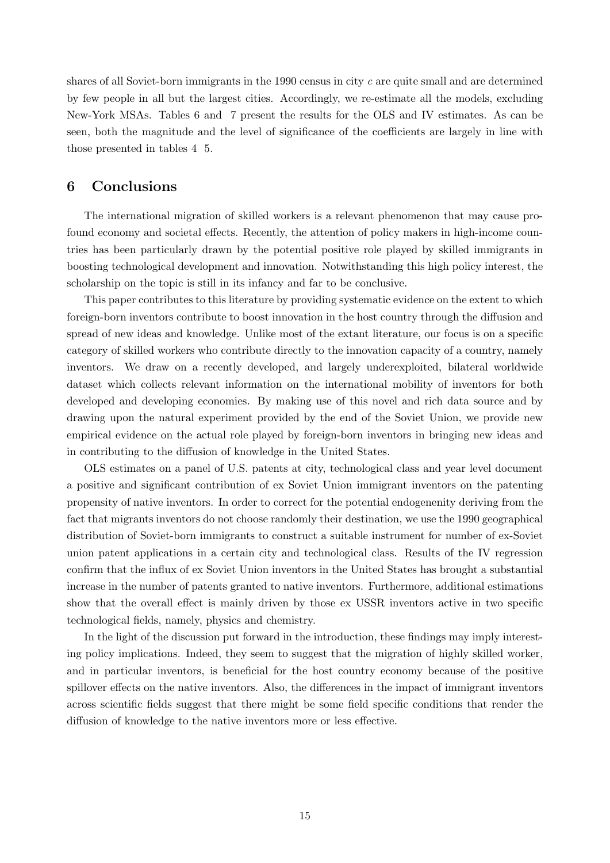shares of all Soviet-born immigrants in the 1990 census in city  $c$  are quite small and are determined by few people in all but the largest cities. Accordingly, we re-estimate all the models, excluding New-York MSAs. Tables 6 and 7 present the results for the OLS and IV estimates. As can be seen, both the magnitude and the level of significance of the coefficients are largely in line with those presented in tables 4 5.

## 6 Conclusions

The international migration of skilled workers is a relevant phenomenon that may cause profound economy and societal effects. Recently, the attention of policy makers in high-income countries has been particularly drawn by the potential positive role played by skilled immigrants in boosting technological development and innovation. Notwithstanding this high policy interest, the scholarship on the topic is still in its infancy and far to be conclusive.

This paper contributes to this literature by providing systematic evidence on the extent to which foreign-born inventors contribute to boost innovation in the host country through the diffusion and spread of new ideas and knowledge. Unlike most of the extant literature, our focus is on a specific category of skilled workers who contribute directly to the innovation capacity of a country, namely inventors. We draw on a recently developed, and largely underexploited, bilateral worldwide dataset which collects relevant information on the international mobility of inventors for both developed and developing economies. By making use of this novel and rich data source and by drawing upon the natural experiment provided by the end of the Soviet Union, we provide new empirical evidence on the actual role played by foreign-born inventors in bringing new ideas and in contributing to the diffusion of knowledge in the United States.

OLS estimates on a panel of U.S. patents at city, technological class and year level document a positive and significant contribution of ex Soviet Union immigrant inventors on the patenting propensity of native inventors. In order to correct for the potential endogenenity deriving from the fact that migrants inventors do not choose randomly their destination, we use the 1990 geographical distribution of Soviet-born immigrants to construct a suitable instrument for number of ex-Soviet union patent applications in a certain city and technological class. Results of the IV regression confirm that the influx of ex Soviet Union inventors in the United States has brought a substantial increase in the number of patents granted to native inventors. Furthermore, additional estimations show that the overall effect is mainly driven by those ex USSR inventors active in two specific technological fields, namely, physics and chemistry.

In the light of the discussion put forward in the introduction, these findings may imply interesting policy implications. Indeed, they seem to suggest that the migration of highly skilled worker, and in particular inventors, is beneficial for the host country economy because of the positive spillover effects on the native inventors. Also, the differences in the impact of immigrant inventors across scientific fields suggest that there might be some field specific conditions that render the diffusion of knowledge to the native inventors more or less effective.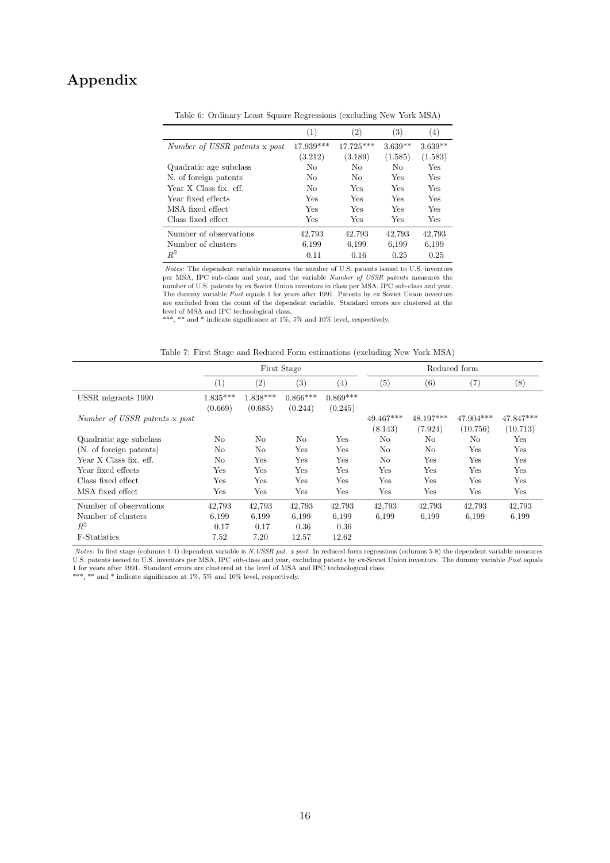## Appendix

|                               | (1)         | $^{\prime}2)$ | (3)       | $\left(4\right)$ |
|-------------------------------|-------------|---------------|-----------|------------------|
| Number of USSR patents x post | $17.939***$ | 17.725***     | $3.639**$ | $3.639**$        |
|                               | (3.212)     | (3.189)       | (1.585)   | (1.583)          |
| Quadratic age subclass        | No          | No            | No        | Yes              |
| N. of foreign patents         | No          | No            | Yes       | Yes              |
| Year X Class fix. eff.        | No          | Yes           | Yes       | Yes              |
| Year fixed effects            | Yes         | Yes           | Yes       | Yes              |
| MSA fixed effect              | <b>Yes</b>  | Yes           | Yes       | Yes              |
| Class fixed effect.           | Yes         | Yes           | Yes       | Yes              |
| Number of observations        | 42.793      | 42.793        | 42.793    | 42.793           |
| Number of clusters            | 6,199       | 6,199         | 6,199     | 6,199            |
| $R^2$                         | 0.11        | 0.16          | 0.25      | 0.25             |

Table 6: Ordinary Least Square Regressions (excluding New York MSA)

Notes: The dependent variable measures the number of U.S. patents issued to U.S. inventors per MSA, IPC sub-class and year, and the variable Number of USSR patents measures the number of U.S. patents by ex Soviet Union inventors in class per MSA, IPC sub-class and year. The dummy variable Post equals 1 for years after 1991. Patents by ex Soviet Union inventors are excluded from the count of the dependent variable. Standard errors are clustered at the level of MSA and IPC technological class.

\*\*\*, \*\* and \* indicate significance at  $1\%$ , 5% and  $10\%$  level, respectively.

|                               |                   |            | First Stage  |            |             | Reduced form |                       |             |  |  |
|-------------------------------|-------------------|------------|--------------|------------|-------------|--------------|-----------------------|-------------|--|--|
|                               | $\left( 1\right)$ | (2)        | (3)          | (4)        | (5)         | (6)          | $^{\left( 7\right) }$ | $^{(8)}$    |  |  |
| USSR migrants 1990            | $1.835***$        | $1.838***$ | $0.866***$   | $0.869***$ |             |              |                       |             |  |  |
|                               | (0.669)           | (0.685)    | (0.244)      | (0.245)    |             |              |                       |             |  |  |
| Number of USSR patents x post |                   |            |              |            | $49.467***$ | $48.197***$  | 47.904***             | $47.847***$ |  |  |
|                               |                   |            |              |            | (8.143)     | (7.924)      | (10.756)              | (10.713)    |  |  |
| Quadratic age subclass        | No                | No         | No           | Yes        | No          | No           | No                    | Yes         |  |  |
| (N. of foreign patents)       | No                | No         | Yes          | Yes        | No          | No           | Yes                   | Yes         |  |  |
| Year X Class fix. eff.        | No                | Yes        | Yes          | Yes        | No          | Yes          | Yes                   | Yes         |  |  |
| Year fixed effects            | Yes               | Yes        | Yes          | Yes        | Yes         | Yes          | Yes                   | Yes         |  |  |
| Class fixed effect            | Yes               | Yes        | Yes          | Yes        | Yes         | Yes          | Yes                   | Yes         |  |  |
| MSA fixed effect              | Yes               | Yes        | $_{\rm Yes}$ | Yes        | Yes         | Yes          | Yes                   | Yes         |  |  |
| Number of observations        | 42,793            | 42,793     | 42,793       | 42,793     | 42,793      | 42,793       | 42,793                | 42,793      |  |  |
| Number of clusters            | 6,199             | 6,199      | 6.199        | 6,199      | 6,199       | 6,199        | 6,199                 | 6,199       |  |  |
| $R^2$                         | 0.17              | 0.17       | 0.36         | 0.36       |             |              |                       |             |  |  |
| F-Statistics                  | 7.52              | 7.20       | 12.57        | 12.62      |             |              |                       |             |  |  |

Notes: In first stage (columns 1-4) dependent variable is N.USSR pat. x post. In reduced-form regressions (columns 5-8) the dependent variable measures U.S. patents issued to U.S. inventors per MSA, IPC sub-class and year, excluding patents by ex-Soviet Union inventors. The dummy variable Post equals 1 for years after 1991. Standard errors are clustered at the level of MSA and IPC technological class.

\*\*\*, \*\* and \* indicate significance at  $1\%$ ,  $5\%$  and  $10\%$  level, respectively.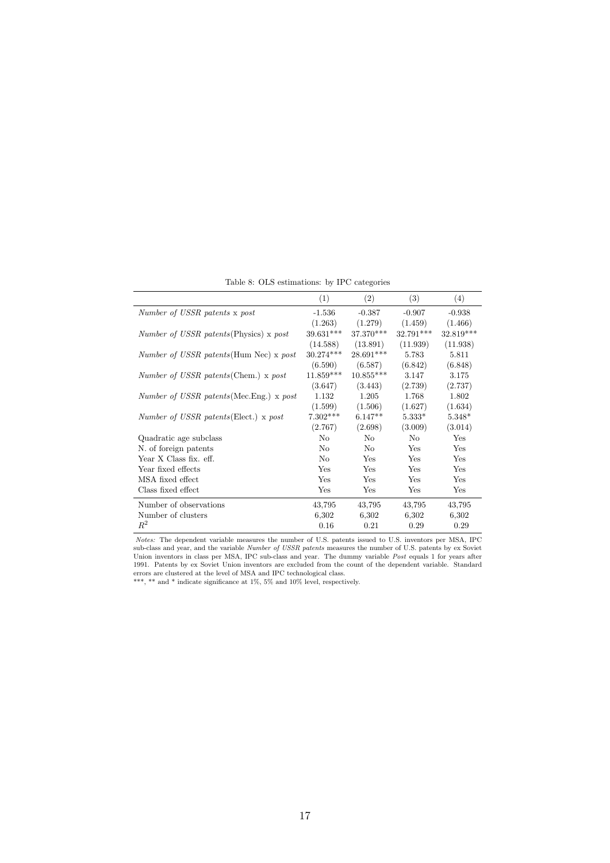|                                                | (1)         | (2)         | (3)       | (4)       |
|------------------------------------------------|-------------|-------------|-----------|-----------|
| Number of USSR patents x post                  | $-1.536$    | $-0.387$    | $-0.907$  | $-0.938$  |
|                                                | (1.263)     | (1.279)     | (1.459)   | (1.466)   |
| <i>Number of USSR patents</i> (Physics) x post | $39.631***$ | $37.370***$ | 32.791*** | 32.819*** |
|                                                | (14.588)    | (13.891)    | (11.939)  | (11.938)  |
| <i>Number of USSR patents</i> (Hum Nec) x post | $30.274***$ | 28.691***   | 5.783     | 5.811     |
|                                                | (6.590)     | (6.587)     | (6.842)   | (6.848)   |
| Number of USSR patents (Chem.) x post          | $11.859***$ | $10.855***$ | 3.147     | 3.175     |
|                                                | (3.647)     | (3.443)     | (2.739)   | (2.737)   |
| Number of USSR patents (Mec. Eng.) x post      | 1.132       | 1.205       | 1.768     | 1.802     |
|                                                | (1.599)     | (1.506)     | (1.627)   | (1.634)   |
| Number of USSR patents (Elect.) x post         | $7.302***$  | $6.147**$   | $5.333*$  | $5.348*$  |
|                                                | (2.767)     | (2.698)     | (3.009)   | (3.014)   |
| Quadratic age subclass                         | No          | No          | No        | Yes       |
| N. of foreign patents                          | No          | No          | Yes       | Yes       |
| Year X Class fix. eff.                         | No          | Yes         | Yes       | Yes       |
| Year fixed effects                             | Yes         | Yes         | Yes       | Yes       |
| MSA fixed effect                               | Yes         | Yes         | Yes       | Yes       |
| Class fixed effect                             | Yes         | Yes         | Yes       | Yes       |
| Number of observations                         | 43,795      | 43,795      | 43,795    | 43,795    |
| Number of clusters                             | 6,302       | 6,302       | 6,302     | 6,302     |
| $\,R^2$                                        | 0.16        | 0.21        | 0.29      | 0.29      |

Table 8: OLS estimations: by IPC categories

Notes: The dependent variable measures the number of U.S. patents issued to U.S. inventors per MSA, IPC sub-class and year, and the variable Number of USSR patents measures the number of U.S. patents by ex Soviet Union inventors in class per MSA, IPC sub-class and year. The dummy variable Post equals 1 for years after 1991. Patents by ex Soviet Union inventors are excluded from the count of the dependent variable. Standard errors are clustered at the level of MSA and IPC technological class.

\*\*\*, \*\* and \* indicate significance at 1%, 5% and 10% level, respectively.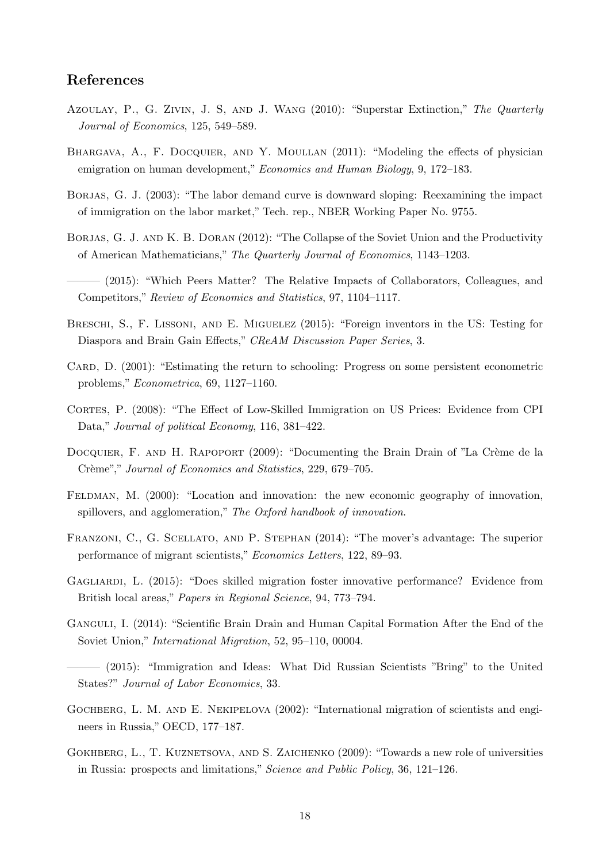## References

- Azoulay, P., G. Zivin, J. S, and J. Wang (2010): "Superstar Extinction," The Quarterly Journal of Economics, 125, 549–589.
- BHARGAVA, A., F. DOCQUIER, AND Y. MOULLAN (2011): "Modeling the effects of physician emigration on human development," Economics and Human Biology, 9, 172–183.
- BORJAS, G. J. (2003): "The labor demand curve is downward sloping: Reexamining the impact of immigration on the labor market," Tech. rep., NBER Working Paper No. 9755.
- BORJAS, G. J. AND K. B. DORAN (2012): "The Collapse of the Soviet Union and the Productivity of American Mathematicians," The Quarterly Journal of Economics, 1143–1203.
- ——— (2015): "Which Peers Matter? The Relative Impacts of Collaborators, Colleagues, and Competitors," Review of Economics and Statistics, 97, 1104–1117.
- Breschi, S., F. Lissoni, and E. Miguelez (2015): "Foreign inventors in the US: Testing for Diaspora and Brain Gain Effects," CReAM Discussion Paper Series, 3.
- CARD, D. (2001): "Estimating the return to schooling: Progress on some persistent econometric problems," Econometrica, 69, 1127–1160.
- Cortes, P. (2008): "The Effect of Low-Skilled Immigration on US Prices: Evidence from CPI Data," Journal of political Economy, 116, 381–422.
- DOCQUIER, F. AND H. RAPOPORT (2009): "Documenting the Brain Drain of "La Crème de la Crème"," Journal of Economics and Statistics, 229, 679–705.
- FELDMAN, M. (2000): "Location and innovation: the new economic geography of innovation, spillovers, and agglomeration," The Oxford handbook of innovation.
- Franzoni, C., G. Scellato, and P. Stephan (2014): "The mover's advantage: The superior performance of migrant scientists," Economics Letters, 122, 89–93.
- Gagliardi, L. (2015): "Does skilled migration foster innovative performance? Evidence from British local areas," Papers in Regional Science, 94, 773–794.
- Ganguli, I. (2014): "Scientific Brain Drain and Human Capital Formation After the End of the Soviet Union," International Migration, 52, 95–110, 00004.
- ——— (2015): "Immigration and Ideas: What Did Russian Scientists "Bring" to the United States?" Journal of Labor Economics, 33.
- GOCHBERG, L. M. AND E. NEKIPELOVA (2002): "International migration of scientists and engineers in Russia," OECD, 177–187.
- GOKHBERG, L., T. KUZNETSOVA, AND S. ZAICHENKO (2009): "Towards a new role of universities in Russia: prospects and limitations," Science and Public Policy, 36, 121–126.